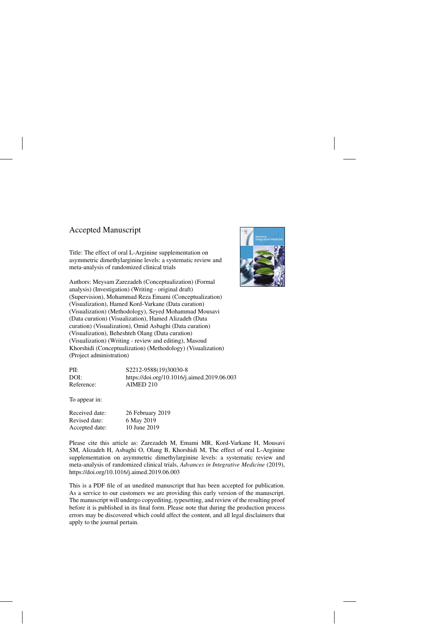## Accepted Manuscript

Title: The effect of oral L-Arginine supplementation on asymmetric dimethylarginine levels: a systematic review and meta-analysis of randomized clinical trials

Authors: Meysam Zarezadeh (Conceptualization) (Formal analysis) (Investigation) (Writing - original draft) (Supervision), Mohammad Reza Emami (Conceptualization) (Visualization), Hamed Kord-Varkane (Data curation) (Visualization) (Methodology), Seyed Mohammad Mousavi (Data curation) (Visualization), Hamed Alizadeh (Data curation) (Visualization), Omid Asbaghi (Data curation) (Visualization), Beheshteh Olang (Data curation) (Visualization) (Writing - review and editing), Masoud Khorshidi (Conceptualization) (Methodology) (Visualization) (Project administration)



| PII:       | S2212-9588(19)30030-8                       |
|------------|---------------------------------------------|
| DOI:       | https://doi.org/10.1016/j.aimed.2019.06.003 |
| Reference: | AIMED 210                                   |

To appear in:

| Received date: | 26 February 2019 |
|----------------|------------------|
| Revised date:  | 6 May 2019       |
| Accepted date: | 10 June 2019     |

Please cite this article as: Zarezadeh M, Emami MR, Kord-Varkane H, Mousavi SM, Alizadeh H, Asbaghi O, Olang B, Khorshidi M, The effect of oral L-Arginine supplementation on asymmetric dimethylarginine levels: a systematic review and meta-analysis of randomized clinical trials, *Advances in Integrative Medicine* (2019), <https://doi.org/10.1016/j.aimed.2019.06.003>

This is a PDF file of an unedited manuscript that has been accepted for publication. As a service to our customers we are providing this early version of the manuscript. The manuscript will undergo copyediting, typesetting, and review of the resulting proof before it is published in its final form. Please note that during the production process errors may be discovered which could affect the content, and all legal disclaimers that apply to the journal pertain.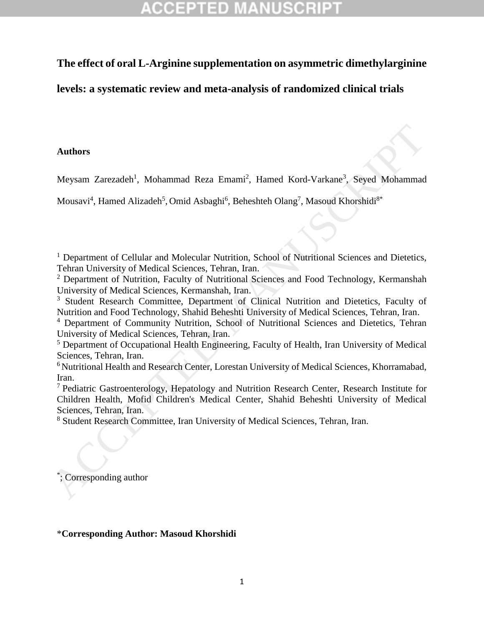## **The effect of oral L-Arginine supplementation on asymmetric dimethylarginine**

**levels: a systematic review and meta-analysis of randomized clinical trials**

### **Authors**

Meysam Zarezadeh<sup>1</sup>, Mohammad Reza Emami<sup>2</sup>, Hamed Kord-Varkane<sup>3</sup>, Seyed Mohammad

Mousavi<sup>4</sup>, Hamed Alizadeh<sup>5</sup>, Omid Asbaghi<sup>6</sup>, Beheshteh Olang<sup>7</sup>, Masoud Khorshidi<sup>8\*</sup>

<sup>1</sup> Department of Cellular and Molecular Nutrition, School of Nutritional Sciences and Dietetics, Tehran University of Medical Sciences, Tehran, Iran.

<sup>2</sup> Department of Nutrition, Faculty of Nutritional Sciences and Food Technology, Kermanshah University of Medical Sciences, Kermanshah, Iran.

<sup>3</sup> Student Research Committee, Department of Clinical Nutrition and Dietetics, Faculty of Nutrition and Food Technology, Shahid Beheshti University of Medical Sciences, Tehran, Iran.

<sup>4</sup> Department of Community Nutrition, School of Nutritional Sciences and Dietetics, Tehran University of Medical Sciences, Tehran, Iran.

<sup>5</sup> Department of Occupational Health Engineering, Faculty of Health, Iran University of Medical Sciences, Tehran, Iran.

<sup>6</sup> Nutritional Health and Research Center, Lorestan University of Medical Sciences, Khorramabad, Iran.

<sup>7</sup> Pediatric Gastroenterology, Hepatology and Nutrition Research Center, Research Institute for Children Health, Mofid Children's Medical Center, Shahid Beheshti University of Medical Sciences, Tehran, Iran. Authors<br>
Meysam 'Zarezadeh<sup>1</sup>, Mohammad Reza Emami<sup>2</sup>, Hamed Kord-Varkane<sup>3</sup>, Seyed Mohammad<br>
Mousavi<sup>4</sup>, Hamed Alizadeh<sup>5</sup>, Omid Ashaghi<sup>9</sup>, Beheshteh Olang<sup>2</sup>, Masoud Khorshidi<sup>8</sup><br>
<sup>1</sup> Department of Cellular and Molecula

<sup>8</sup> Student Research Committee, Iran University of Medical Sciences, Tehran, Iran.

\* ; Corresponding author

### \***Corresponding Author: Masoud Khorshidi**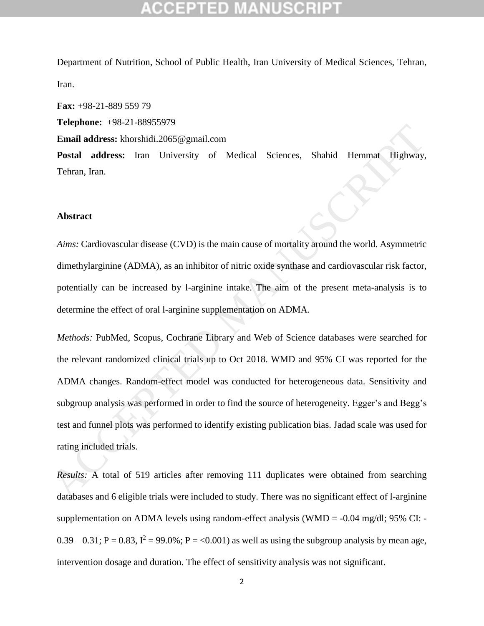Department of Nutrition, School of Public Health, Iran University of Medical Sciences, Tehran, Iran.

**Fax:** +98-21-889 559 79 **Telephone:** +98-21-88955979 **Email address:** khorshidi.2065@gmail.com **Postal address:** Iran University of Medical Sciences, Shahid Hemmat Highway, Tehran, Iran.

#### **Abstract**

*Aims:* Cardiovascular disease (CVD) is the main cause of mortality around the world. Asymmetric dimethylarginine (ADMA), as an inhibitor of nitric oxide synthase and cardiovascular risk factor, potentially can be increased by l-arginine intake. The aim of the present meta-analysis is to determine the effect of oral l-arginine supplementation on ADMA.

*Methods:* PubMed, Scopus, Cochrane Library and Web of Science databases were searched for the relevant randomized clinical trials up to Oct 2018. WMD and 95% CI was reported for the ADMA changes. Random-effect model was conducted for heterogeneous data. Sensitivity and subgroup analysis was performed in order to find the source of heterogeneity. Egger's and Begg's test and funnel plots was performed to identify existing publication bias. Jadad scale was used for rating included trials. Fundi address: khoshidi.2065@gmail.com<br>
Fundi address: han University of Medical Sciences, Shahid Hemmat Highway,<br>
Tehran, Iran.<br>
Tehran, Iran.<br>
Abstract<br>
Alms: Cardiovascular disease (CVD) is the main cause of mortality

*Results:* A total of 519 articles after removing 111 duplicates were obtained from searching databases and 6 eligible trials were included to study. There was no significant effect of l-arginine supplementation on ADMA levels using random-effect analysis (WMD =  $-0.04$  mg/dl; 95% CI:  $0.39 - 0.31$ ; P = 0.83,  $I^2 = 99.0\%$ ; P = <0.001) as well as using the subgroup analysis by mean age, intervention dosage and duration. The effect of sensitivity analysis was not significant.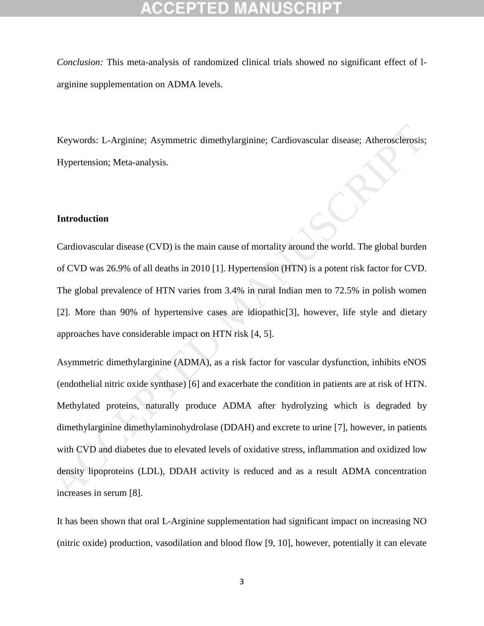*Conclusion:* This meta-analysis of randomized clinical trials showed no significant effect of larginine supplementation on ADMA levels.

Keywords: L-Arginine; Asymmetric dimethylarginine; Cardiovascular disease; Atherosclerosis; Hypertension; Meta-analysis.

### **Introduction**

Cardiovascular disease (CVD) is the main cause of mortality around the world. The global burden of CVD was 26.9% of all deaths in 2010 [1]. Hypertension (HTN) is a potent risk factor for CVD. The global prevalence of HTN varies from 3.4% in rural Indian men to 72.5% in polish women [2]. More than 90% of hypertensive cases are idiopathic[3], however, life style and dietary approaches have considerable impact on HTN risk [4, 5].

Asymmetric dimethylarginine (ADMA), as a risk factor for vascular dysfunction, inhibits eNOS (endothelial nitric oxide synthase) [6] and exacerbate the condition in patients are at risk of HTN. Methylated proteins, naturally produce ADMA after hydrolyzing which is degraded by dimethylarginine dimethylaminohydrolase (DDAH) and excrete to urine [7], however, in patients with CVD and diabetes due to elevated levels of oxidative stress, inflammation and oxidized low density lipoproteins (LDL), DDAH activity is reduced and as a result ADMA concentration increases in serum [8]. Keywords: 1.-Arginine; Asymmetric dimethylarginine; Cardiovascular disease; Atherosclerosis;<br>
Hypertension; Meta-analysis.<br>
<br> **Introduction**<br>
<br> **Cardiovascular disease (CVD) is the main cause of mortality around the world** 

It has been shown that oral L-Arginine supplementation had significant impact on increasing NO (nitric oxide) production, vasodilation and blood flow [9, 10], however, potentially it can elevate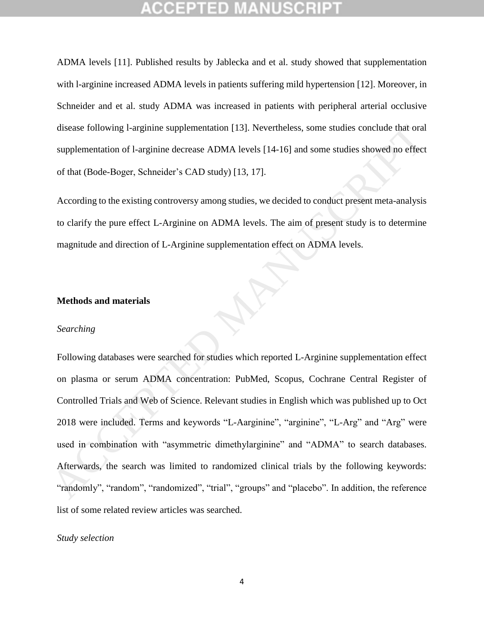ADMA levels [11]. Published results by Jablecka and et al. study showed that supplementation with l-arginine increased ADMA levels in patients suffering mild hypertension [12]. Moreover, in Schneider and et al. study ADMA was increased in patients with peripheral arterial occlusive disease following l-arginine supplementation [13]. Nevertheless, some studies conclude that oral supplementation of l-arginine decrease ADMA levels [14-16] and some studies showed no effect of that (Bode-Boger, Schneider's CAD study) [13, 17].

According to the existing controversy among studies, we decided to conduct present meta-analysis to clarify the pure effect L-Arginine on ADMA levels. The aim of present study is to determine magnitude and direction of L-Arginine supplementation effect on ADMA levels.

### **Methods and materials**

#### *Searching*

Following databases were searched for studies which reported L-Arginine supplementation effect on plasma or serum ADMA concentration: PubMed, Scopus, Cochrane Central Register of Controlled Trials and Web of Science. Relevant studies in English which was published up to Oct 2018 were included. Terms and keywords "L-Aarginine", "arginine", "L-Arg" and "Arg" were used in combination with "asymmetric dimethylarginine" and "ADMA" to search databases. Afterwards, the search was limited to randomized clinical trials by the following keywords: "randomly", "random", "randomized", "trial", "groups" and "placebo". In addition, the reference list of some related review articles was searched. disease following l-arginine supplementation [13]. Nevertheless, some studies conclude that oral<br>supplementation of l-arginine decrease ADMA levels [14-16] and some studies showed no effect<br>of that (Bode-Boger, Schneider's

#### *Study selection*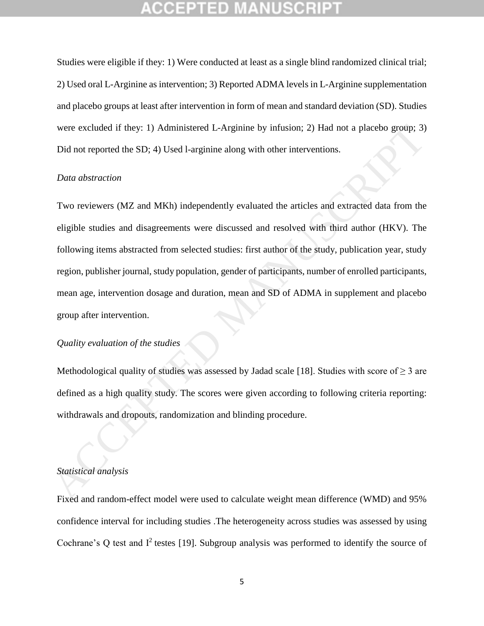Studies were eligible if they: 1) Were conducted at least as a single blind randomized clinical trial; 2) Used oral L-Arginine as intervention; 3) Reported ADMA levels in L-Arginine supplementation and placebo groups at least after intervention in form of mean and standard deviation (SD). Studies were excluded if they: 1) Administered L-Arginine by infusion; 2) Had not a placebo group; 3) Did not reported the SD; 4) Used l-arginine along with other interventions.

#### *Data abstraction*

Two reviewers (MZ and MKh) independently evaluated the articles and extracted data from the eligible studies and disagreements were discussed and resolved with third author (HKV). The following items abstracted from selected studies: first author of the study, publication year, study region, publisher journal, study population, gender of participants, number of enrolled participants, mean age, intervention dosage and duration, mean and SD of ADMA in supplement and placebo group after intervention. were excluded if they: 1) Administered L-Arginine by infusion; 2) Had not a placebo group; 3)<br>Did not reported the SD; 4) Used l-arginine along with other interventions.<br>
Data abstraction<br>
Two reviewers (MZ and MKh) indep

### *Quality evaluation of the studies*

Methodological quality of studies was assessed by Jadad scale [18]. Studies with score of  $> 3$  are defined as a high quality study. The scores were given according to following criteria reporting: withdrawals and dropouts, randomization and blinding procedure.

### *Statistical analysis*

Fixed and random-effect model were used to calculate weight mean difference (WMD) and 95% confidence interval for including studies .The heterogeneity across studies was assessed by using Cochrane's Q test and  $I^2$  testes [19]. Subgroup analysis was performed to identify the source of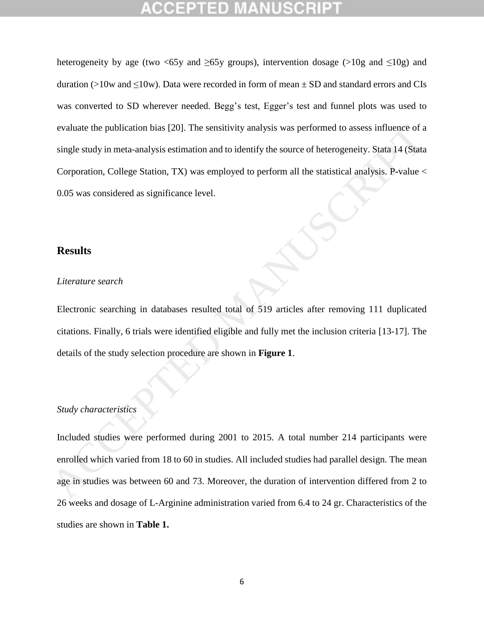heterogeneity by age (two <65y and  $\geq$ 65y groups), intervention dosage (>10g and  $\leq$ 10g) and duration (>10w and  $\leq$ 10w). Data were recorded in form of mean  $\pm$  SD and standard errors and CIs was converted to SD wherever needed. Begg's test, Egger's test and funnel plots was used to evaluate the publication bias [20]. The sensitivity analysis was performed to assess influence of a single study in meta-analysis estimation and to identify the source of heterogeneity. Stata 14 (Stata Corporation, College Station, TX) was employed to perform all the statistical analysis. P-value < 0.05 was considered as significance level. evaluate the publication bias [20]. The sensitivity analysis was performed to assess influence of a<br>single study in meta-analysis estimation and to identify the source of heterogeneity. Stata 14 (Stata<br>Corporation, College

### **Results**

#### *Literature search*

Electronic searching in databases resulted total of 519 articles after removing 111 duplicated citations. Finally, 6 trials were identified eligible and fully met the inclusion criteria [13-17]. The details of the study selection procedure are shown in **Figure 1**.

### *Study characteristics*

Included studies were performed during 2001 to 2015. A total number 214 participants were enrolled which varied from 18 to 60 in studies. All included studies had parallel design. The mean age in studies was between 60 and 73. Moreover, the duration of intervention differed from 2 to 26 weeks and dosage of L-Arginine administration varied from 6.4 to 24 gr. Characteristics of the studies are shown in **Table 1.**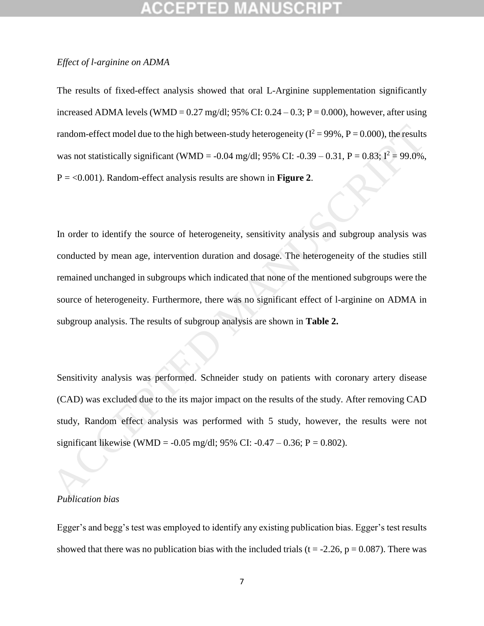#### *Effect of l-arginine on ADMA*

The results of fixed-effect analysis showed that oral L-Arginine supplementation significantly increased ADMA levels (WMD =  $0.27 \text{ mg/dl}$ ; 95% CI:  $0.24 - 0.3$ ; P =  $0.000$ ), however, after using random-effect model due to the high between-study heterogeneity ( $I^2 = 99\%$ ,  $P = 0.000$ ), the results was not statistically significant (WMD = -0.04 mg/dl; 95% CI: -0.39 – 0.31, P = 0.83;  $I^2 = 99.0\%$ , P = <0.001). Random-effect analysis results are shown in **Figure 2**.

In order to identify the source of heterogeneity, sensitivity analysis and subgroup analysis was conducted by mean age, intervention duration and dosage. The heterogeneity of the studies still remained unchanged in subgroups which indicated that none of the mentioned subgroups were the source of heterogeneity. Furthermore, there was no significant effect of l-arginine on ADMA in subgroup analysis. The results of subgroup analysis are shown in **Table 2.** random-effect model due to the high between-study heterogeneity  $(I^2 - 99\%$ ,  $P - 0.000$ ), the results<br>was not statistically significant (WMD - -0.04 mg/dl; 95% CI; -0.39 - 0.31,  $P = 0.83$ ;  $\hat{P} = 99.0\%$ ,<br> $P = <0.001$ ). Ra

Sensitivity analysis was performed. Schneider study on patients with coronary artery disease (CAD) was excluded due to the its major impact on the results of the study. After removing CAD study, Random effect analysis was performed with 5 study, however, the results were not significant likewise (WMD = -0.05 mg/dl; 95% CI: -0.47 – 0.36; P = 0.802).

#### *Publication bias*

Egger's and begg's test was employed to identify any existing publication bias. Egger's test results showed that there was no publication bias with the included trials (t =  $-2.26$ , p = 0.087). There was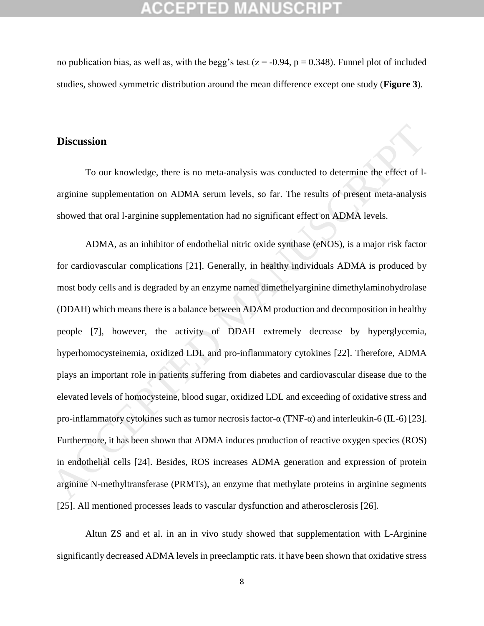no publication bias, as well as, with the begg's test ( $z = -0.94$ ,  $p = 0.348$ ). Funnel plot of included studies, showed symmetric distribution around the mean difference except one study (**Figure 3**).

### **Discussion**

To our knowledge, there is no meta-analysis was conducted to determine the effect of larginine supplementation on ADMA serum levels, so far. The results of present meta-analysis showed that oral l-arginine supplementation had no significant effect on ADMA levels.

ADMA, as an inhibitor of endothelial nitric oxide synthase (eNOS), is a major risk factor for cardiovascular complications [21]. Generally, in healthy individuals ADMA is produced by most body cells and is degraded by an enzyme named dimethelyarginine dimethylaminohydrolase (DDAH) which means there is a balance between ADAM production and decomposition in healthy people [7], however, the activity of DDAH extremely decrease by hyperglycemia, hyperhomocysteinemia, oxidized LDL and pro-inflammatory cytokines [22]. Therefore, ADMA plays an important role in patients suffering from diabetes and cardiovascular disease due to the elevated levels of homocysteine, blood sugar, oxidized LDL and exceeding of oxidative stress and pro-inflammatory cytokines such as tumor necrosis factor-α (TNF-α) and interleukin-6 (IL-6) [23]. Furthermore, it has been shown that ADMA induces production of reactive oxygen species (ROS) in endothelial cells [24]. Besides, ROS increases ADMA generation and expression of protein arginine N-methyltransferase (PRMTs), an enzyme that methylate proteins in arginine segments [25]. All mentioned processes leads to vascular dysfunction and atherosclerosis [26]. **Discussion**<br>To our knowledge, there is no meta-analysis was conducted to determine the effect of l-<br>arginine supplementation on ADMA serum levels, so far. The results of present meta-analysis<br>showed that oral l-arginine

Altun ZS and et al. in an in vivo study showed that supplementation with L-Arginine significantly decreased ADMA levels in preeclamptic rats. it have been shown that oxidative stress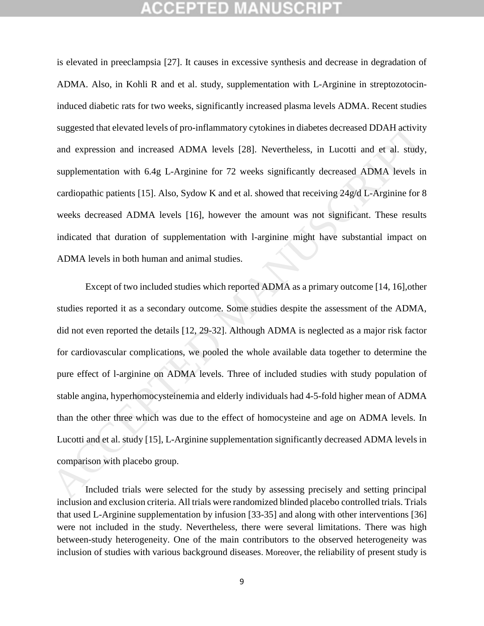is elevated in preeclampsia [27]. It causes in excessive synthesis and decrease in degradation of ADMA. Also, in Kohli R and et al. study, supplementation with L-Arginine in streptozotocininduced diabetic rats for two weeks, significantly increased plasma levels ADMA. Recent studies suggested that elevated levels of pro-inflammatory cytokines in diabetes decreased DDAH activity and expression and increased ADMA levels [28]. Nevertheless, in Lucotti and et al. study, supplementation with 6.4g L-Arginine for 72 weeks significantly decreased ADMA levels in cardiopathic patients [15]. Also, Sydow K and et al. showed that receiving 24g/d L-Arginine for 8 weeks decreased ADMA levels [16], however the amount was not significant. These results indicated that duration of supplementation with l-arginine might have substantial impact on ADMA levels in both human and animal studies.

Except of two included studies which reported ADMA as a primary outcome [14, 16],other studies reported it as a secondary outcome. Some studies despite the assessment of the ADMA, did not even reported the details [12, 29-32]. Although ADMA is neglected as a major risk factor for cardiovascular complications, we pooled the whole available data together to determine the pure effect of l-arginine on ADMA levels. Three of included studies with study population of stable angina, hyperhomocysteinemia and elderly individuals had 4-5-fold higher mean of ADMA than the other three which was due to the effect of homocysteine and age on ADMA levels. In Lucotti and et al. study [15], L-Arginine supplementation significantly decreased ADMA levels in comparison with placebo group. suggested that elevated levels of pro-inflammatory cytokines in diabetes decreased DDAH activity<br>and expression and increased ADMA levels [28]. Nevertheless, in Lucotti and et al. study,<br>supplementation with 6.4g L-Arginin

Included trials were selected for the study by assessing precisely and setting principal inclusion and exclusion criteria. All trials were randomized blinded placebo controlled trials. Trials that used L-Arginine supplementation by infusion [33-35] and along with other interventions [36] were not included in the study. Nevertheless, there were several limitations. There was high between-study heterogeneity. One of the main contributors to the observed heterogeneity was inclusion of studies with various background diseases. Moreover, the reliability of present study is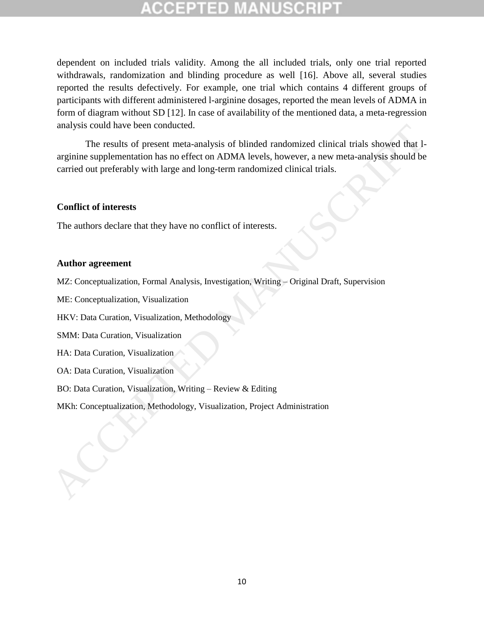dependent on included trials validity. Among the all included trials, only one trial reported withdrawals, randomization and blinding procedure as well [16]. Above all, several studies reported the results defectively. For example, one trial which contains 4 different groups of participants with different administered l-arginine dosages, reported the mean levels of ADMA in form of diagram without SD [12]. In case of availability of the mentioned data, a meta-regression analysis could have been conducted.

The results of present meta-analysis of blinded randomized clinical trials showed that larginine supplementation has no effect on ADMA levels, however, a new meta-analysis should be carried out preferably with large and long-term randomized clinical trials. anaysis could nave been conducted.<br>
The results of present meta-analysis of blinded randomized clinical trials showed that I-arginine supplementation has no effect on ADMA levels, however, a new meta-analysis should be car

#### **Conflict of interests**

The authors declare that they have no conflict of interests.

### **Author agreement**

MZ: Conceptualization, Formal Analysis, Investigation, Writing – Original Draft, Supervision

ME: Conceptualization, Visualization

HKV: Data Curation, Visualization, Methodology

SMM: Data Curation, Visualization

HA: Data Curation, Visualization

OA: Data Curation, Visualization

BO: Data Curation, Visualization, Writing – Review & Editing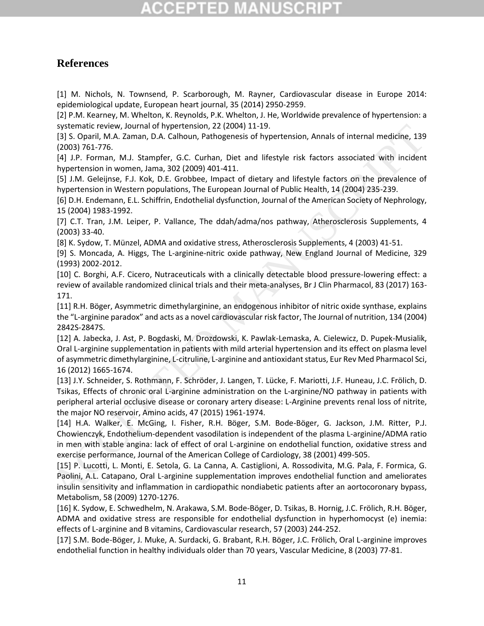# CGEPTED M

## **References**

[1] M. Nichols, N. Townsend, P. Scarborough, M. Rayner, Cardiovascular disease in Europe 2014: epidemiological update, European heart journal, 35 (2014) 2950-2959.

[2] P.M. Kearney, M. Whelton, K. Reynolds, P.K. Whelton, J. He, Worldwide prevalence of hypertension: a systematic review, Journal of hypertension, 22 (2004) 11-19.

[3] S. Oparil, M.A. Zaman, D.A. Calhoun, Pathogenesis of hypertension, Annals of internal medicine, 139 (2003) 761-776.

[4] J.P. Forman, M.J. Stampfer, G.C. Curhan, Diet and lifestyle risk factors associated with incident hypertension in women, Jama, 302 (2009) 401-411.

[5] J.M. Geleijnse, F.J. Kok, D.E. Grobbee, Impact of dietary and lifestyle factors on the prevalence of hypertension in Western populations, The European Journal of Public Health, 14 (2004) 235-239.

[6] D.H. Endemann, E.L. Schiffrin, Endothelial dysfunction, Journal of the American Society of Nephrology, 15 (2004) 1983-1992.

[7] C.T. Tran, J.M. Leiper, P. Vallance, The ddah/adma/nos pathway, Atherosclerosis Supplements, 4 (2003) 33-40.

[8] K. Sydow, T. Münzel, ADMA and oxidative stress, Atherosclerosis Supplements, 4 (2003) 41-51.

[9] S. Moncada, A. Higgs, The L-arginine-nitric oxide pathway, New England Journal of Medicine, 329 (1993) 2002-2012.

[10] C. Borghi, A.F. Cicero, Nutraceuticals with a clinically detectable blood pressure-lowering effect: a review of available randomized clinical trials and their meta-analyses, Br J Clin Pharmacol, 83 (2017) 163- 171.

[11] R.H. Böger, Asymmetric dimethylarginine, an endogenous inhibitor of nitric oxide synthase, explains the "L-arginine paradox" and acts as a novel cardiovascular risk factor, The Journal of nutrition, 134 (2004) 2842S-2847S.

[12] A. Jabecka, J. Ast, P. Bogdaski, M. Drozdowski, K. Pawlak-Lemaska, A. Cielewicz, D. Pupek-Musialik, Oral L-arginine supplementation in patients with mild arterial hypertension and its effect on plasma level of asymmetric dimethylarginine, L-citruline, L-arginine and antioxidant status, Eur Rev Med Pharmacol Sci, 16 (2012) 1665-1674.

[13] J.Y. Schneider, S. Rothmann, F. Schröder, J. Langen, T. Lücke, F. Mariotti, J.F. Huneau, J.C. Frölich, D. Tsikas, Effects of chronic oral L-arginine administration on the L-arginine/NO pathway in patients with peripheral arterial occlusive disease or coronary artery disease: L-Arginine prevents renal loss of nitrite, the major NO reservoir, Amino acids, 47 (2015) 1961-1974.

[14] H.A. Walker, E. McGing, I. Fisher, R.H. Böger, S.M. Bode-Böger, G. Jackson, J.M. Ritter, P.J. Chowienczyk, Endothelium-dependent vasodilation is independent of the plasma L-arginine/ADMA ratio in men with stable angina: lack of effect of oral L-arginine on endothelial function, oxidative stress and exercise performance, Journal of the American College of Cardiology, 38 (2001) 499-505. sytematic review, Journal of Nypertension, 22 (2004) 11-19.<br>
43.5. Operil, MA. Zaman, D.A. Calboun, Pathogenesis of hypertension, Annals of internal medicine, 139<br>
42003) 761-776.<br>
42003 761-776.<br>
42003 761-776.<br>
4201-110.

[15] P. Lucotti, L. Monti, E. Setola, G. La Canna, A. Castiglioni, A. Rossodivita, M.G. Pala, F. Formica, G. Paolini, A.L. Catapano, Oral L-arginine supplementation improves endothelial function and ameliorates insulin sensitivity and inflammation in cardiopathic nondiabetic patients after an aortocoronary bypass, Metabolism, 58 (2009) 1270-1276.

[16] K. Sydow, E. Schwedhelm, N. Arakawa, S.M. Bode-Böger, D. Tsikas, B. Hornig, J.C. Frölich, R.H. Böger, ADMA and oxidative stress are responsible for endothelial dysfunction in hyperhomocyst (e) inemia: effects of L-arginine and B vitamins, Cardiovascular research, 57 (2003) 244-252.

[17] S.M. Bode-Böger, J. Muke, A. Surdacki, G. Brabant, R.H. Böger, J.C. Frölich, Oral L-arginine improves endothelial function in healthy individuals older than 70 years, Vascular Medicine, 8 (2003) 77-81.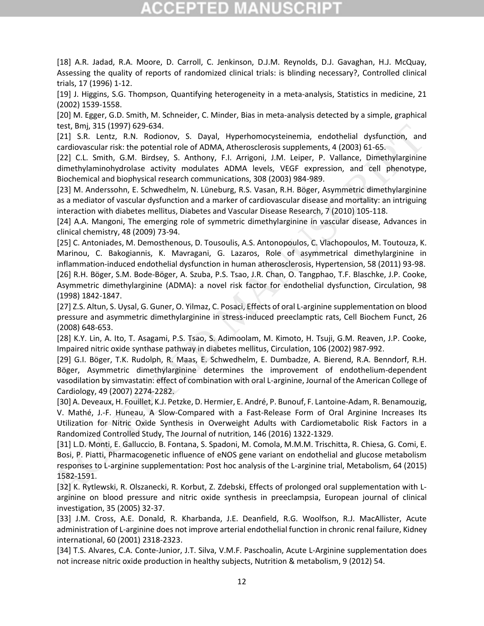# CCEPTED MAN

[18] A.R. Jadad, R.A. Moore, D. Carroll, C. Jenkinson, D.J.M. Reynolds, D.J. Gavaghan, H.J. McQuay, Assessing the quality of reports of randomized clinical trials: is blinding necessary?, Controlled clinical trials, 17 (1996) 1-12.

[19] J. Higgins, S.G. Thompson, Quantifying heterogeneity in a meta-analysis, Statistics in medicine, 21 (2002) 1539-1558.

[20] M. Egger, G.D. Smith, M. Schneider, C. Minder, Bias in meta-analysis detected by a simple, graphical test, Bmj, 315 (1997) 629-634.

[21] S.R. Lentz, R.N. Rodionov, S. Dayal, Hyperhomocysteinemia, endothelial dysfunction, and cardiovascular risk: the potential role of ADMA, Atherosclerosis supplements, 4 (2003) 61-65.

[22] C.L. Smith, G.M. Birdsey, S. Anthony, F.I. Arrigoni, J.M. Leiper, P. Vallance, Dimethylarginine dimethylaminohydrolase activity modulates ADMA levels, VEGF expression, and cell phenotype, Biochemical and biophysical research communications, 308 (2003) 984-989.

[23] M. Anderssohn, E. Schwedhelm, N. Lüneburg, R.S. Vasan, R.H. Böger, Asymmetric dimethylarginine as a mediator of vascular dysfunction and a marker of cardiovascular disease and mortality: an intriguing interaction with diabetes mellitus, Diabetes and Vascular Disease Research, 7 (2010) 105-118.

[24] A.A. Mangoni, The emerging role of symmetric dimethylarginine in vascular disease, Advances in clinical chemistry, 48 (2009) 73-94.

[25] C. Antoniades, M. Demosthenous, D. Tousoulis, A.S. Antonopoulos, C. Vlachopoulos, M. Toutouza, K. Marinou, C. Bakogiannis, K. Mavragani, G. Lazaros, Role of asymmetrical dimethylarginine in inflammation-induced endothelial dysfunction in human atherosclerosis, Hypertension, 58 (2011) 93-98. [26] R.H. Böger, S.M. Bode-Böger, A. Szuba, P.S. Tsao, J.R. Chan, O. Tangphao, T.F. Blaschke, J.P. Cooke, Asymmetric dimethylarginine (ADMA): a novel risk factor for endothelial dysfunction, Circulation, 98 (1998) 1842-1847. test, Bmi, 315 (1997) 623-633.<br>[21] S.R. Lentz, R.N. Bodonov, S. Dayal, Hyperhomocysteinemia, endothelial dysfunction, and<br>calcular risk: the potential role of ADMA, Atherocalconis supplements, 4 (2003) E4-55.<br>[22] C.L. Sm

[27] Z.S. Altun, S. Uysal, G. Guner, O. Yilmaz, C. Posaci, Effects of oral L-arginine supplementation on blood pressure and asymmetric dimethylarginine in stress-induced preeclamptic rats, Cell Biochem Funct, 26 (2008) 648-653.

[28] K.Y. Lin, A. Ito, T. Asagami, P.S. Tsao, S. Adimoolam, M. Kimoto, H. Tsuji, G.M. Reaven, J.P. Cooke, Impaired nitric oxide synthase pathway in diabetes mellitus, Circulation, 106 (2002) 987-992.

[29] G.I. Böger, T.K. Rudolph, R. Maas, E. Schwedhelm, E. Dumbadze, A. Bierend, R.A. Benndorf, R.H. Böger, Asymmetric dimethylarginine determines the improvement of endothelium-dependent vasodilation by simvastatin: effect of combination with oral L-arginine, Journal of the American College of Cardiology, 49 (2007) 2274-2282.

[30] A. Deveaux, H. Fouillet, K.J. Petzke, D. Hermier, E. André, P. Bunouf, F. Lantoine-Adam, R. Benamouzig, V. Mathé, J.-F. Huneau, A Slow-Compared with a Fast-Release Form of Oral Arginine Increases Its Utilization for Nitric Oxide Synthesis in Overweight Adults with Cardiometabolic Risk Factors in a Randomized Controlled Study, The Journal of nutrition, 146 (2016) 1322-1329.

[31] L.D. Monti, E. Galluccio, B. Fontana, S. Spadoni, M. Comola, M.M.M. Trischitta, R. Chiesa, G. Comi, E. Bosi, P. Piatti, Pharmacogenetic influence of eNOS gene variant on endothelial and glucose metabolism responses to L-arginine supplementation: Post hoc analysis of the L-arginine trial, Metabolism, 64 (2015) 1582-1591.

[32] K. Rytlewski, R. Olszanecki, R. Korbut, Z. Zdebski, Effects of prolonged oral supplementation with L‐ arginine on blood pressure and nitric oxide synthesis in preeclampsia, European journal of clinical investigation, 35 (2005) 32-37.

[33] J.M. Cross, A.E. Donald, R. Kharbanda, J.E. Deanfield, R.G. Woolfson, R.J. MacAllister, Acute administration of L-arginine does not improve arterial endothelial function in chronic renal failure, Kidney international, 60 (2001) 2318-2323.

[34] T.S. Alvares, C.A. Conte-Junior, J.T. Silva, V.M.F. Paschoalin, Acute L-Arginine supplementation does not increase nitric oxide production in healthy subjects, Nutrition & metabolism, 9 (2012) 54.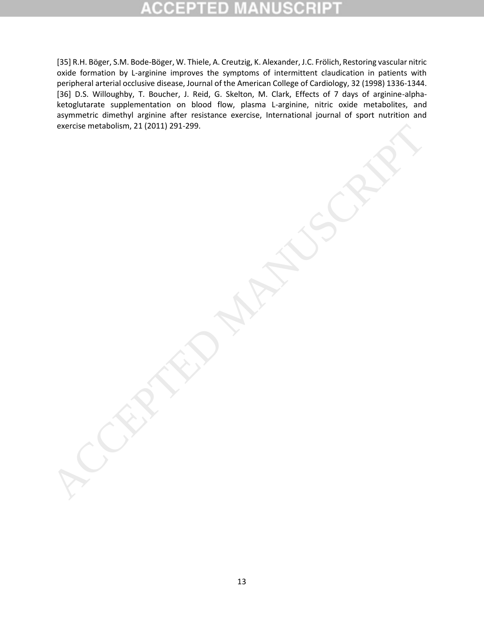[35] R.H. Böger, S.M. Bode-Böger, W. Thiele, A. Creutzig, K. Alexander, J.C. Frölich, Restoring vascular nitric oxide formation by L-arginine improves the symptoms of intermittent claudication in patients with peripheral arterial occlusive disease, Journal of the American College of Cardiology, 32 (1998) 1336-1344. [36] D.S. Willoughby, T. Boucher, J. Reid, G. Skelton, M. Clark, Effects of 7 days of arginine-alphaketoglutarate supplementation on blood flow, plasma L-arginine, nitric oxide metabolites, and asymmetric dimethyl arginine after resistance exercise, International journal of sport nutrition and exercise metabolism, 21 (2011) 291-299.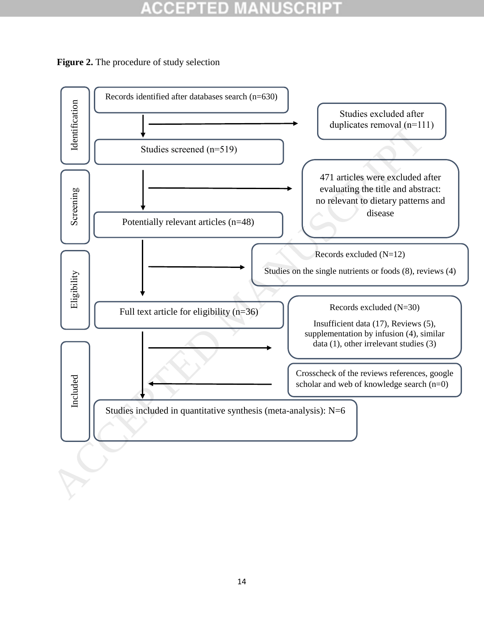#### IUSCRII CCEPTI ED



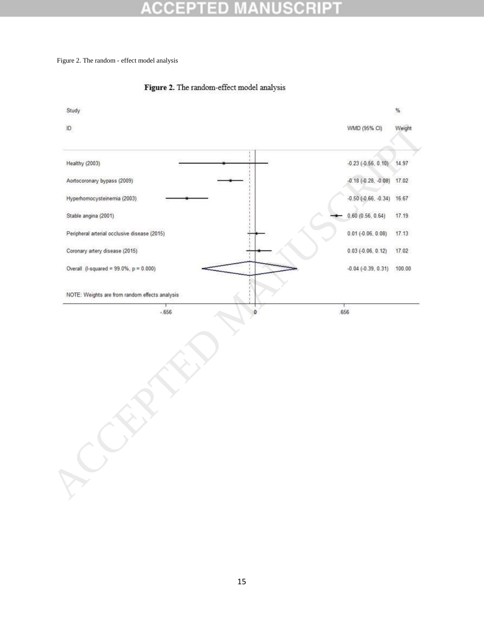# 0

Figure 2. The random - effect model analysis



### Figure 2. The random-effect model analysis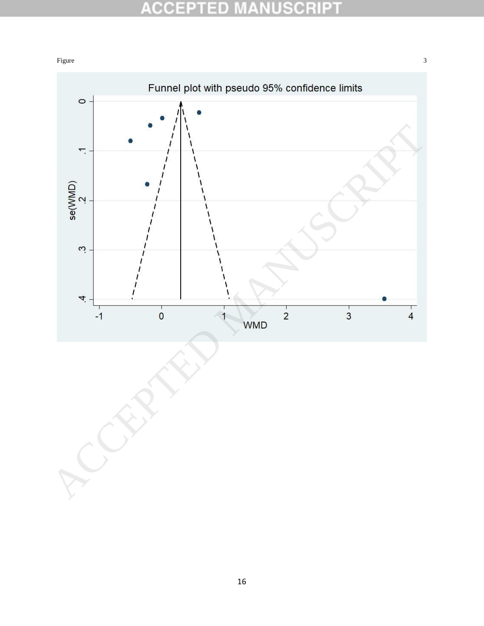#### **ACCEPTED NUSCRIP1** M Ŧ

#### Figure 3 and 3 and 3 and 3 and 3 and 3 and 3 and 3 and 3 and 3 and 3 and 3 and 3 and 3 and 3 and 3 and 3 and 3 and 3 and 3 and 3 and 3 and 3 and 3 and 3 and 3 and 3 and 3 and 3 and 3 and 3 and 3 and 3 and 3 and 3 and 3 and

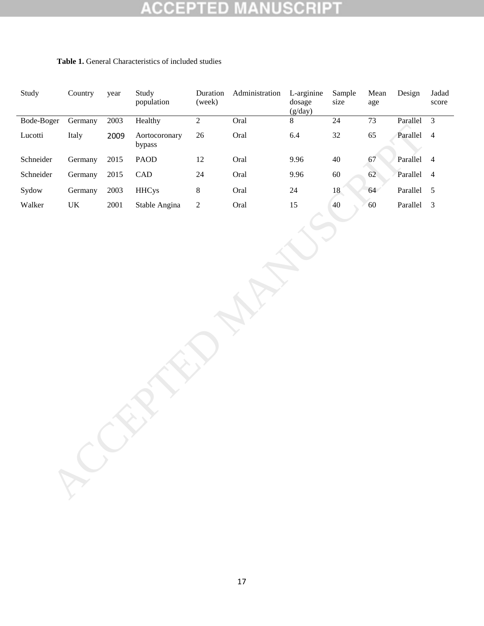#### ED **CRIPT** ä, CC E S L

| Study      | Country                           | year     | Study<br>population     | Duration<br>(week) | Administration | L-arginine<br>dosage<br>(g/day) | Sample<br>size | Mean<br>age | Design     | Jadad<br>score |
|------------|-----------------------------------|----------|-------------------------|--------------------|----------------|---------------------------------|----------------|-------------|------------|----------------|
| Bode-Boger | Germany                           | 2003     | Healthy                 | $\overline{2}$     | Oral           | 8                               | 24             | 73          | Parallel   | $\overline{3}$ |
| Lucotti    | Italy                             | 2009     | Aortocoronary<br>bypass | $26\,$             | Oral           | 6.4                             | $32\,$         | 65          | Parallel   | $\overline{4}$ |
| Schneider  | Germany                           | $2015\,$ | <b>PAOD</b>             | $12\,$             | Oral           | 9.96                            | $40\,$         | 67          | Parallel 4 |                |
| Schneider  | Germany                           | $2015\,$ | CAD                     | $24\,$             | Oral           | 9.96                            | $60\,$         | 62          | Parallel   | $\overline{4}$ |
| Sydow      | Germany                           | 2003     | <b>HHCys</b>            | $\,8\,$            | Oral           | $24\,$                          | 18             | 64          | Parallel 5 |                |
| Walker     | $\ensuremath{\mathsf{UK}}\xspace$ | $2001\,$ | Stable Angina           | $\sqrt{2}$         | Oral           | $15\,$                          | 40             | 60          | Parallel   | $\overline{3}$ |
|            |                                   |          |                         |                    |                |                                 |                |             |            |                |

### **Table 1.** General Characteristics of included studies